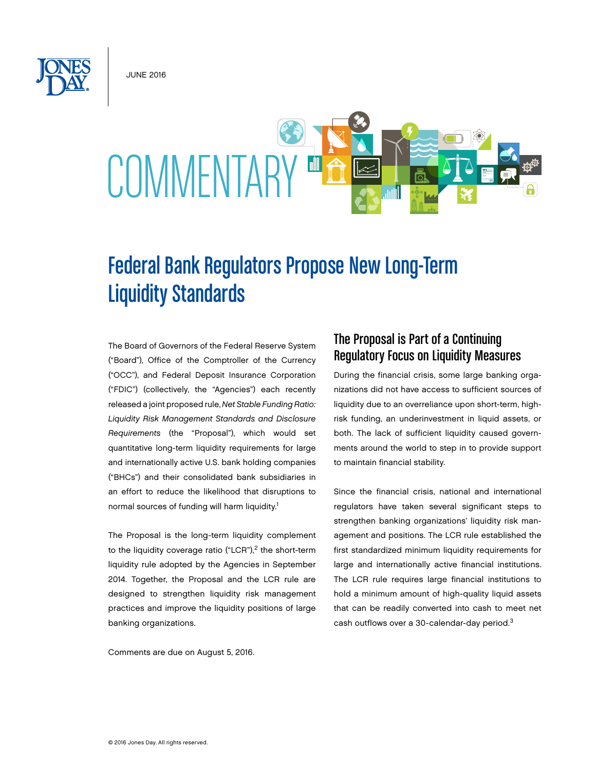June 2016



# Federal Bank Regulators Propose New Long-Term Liquidity Standards

The Board of Governors of the Federal Reserve System ("Board"), Office of the Comptroller of the Currency ("OCC"), and Federal Deposit Insurance Corporation ("FDIC") (collectively, the "Agencies") each recently released a joint proposed rule, *Net Stable Funding Ratio: Liquidity Risk Management Standards and Disclosure Requirements* (the "Proposal"), which would set quantitative long-term liquidity requirements for large and internationally active U.S. bank holding companies ("BHCs") and their consolidated bank subsidiaries in an effort to reduce the likelihood that disruptions to normal sources of funding will harm liquidity.<sup>1</sup>

The Proposal is the long-term liquidity complement to the liquidity coverage ratio ("LCR"), $<sup>2</sup>$  the short-term</sup> liquidity rule adopted by the Agencies in September 2014. Together, the Proposal and the LCR rule are designed to strengthen liquidity risk management practices and improve the liquidity positions of large banking organizations.

Comments are due on August 5, 2016.

### The Proposal is Part of a Continuing Regulatory Focus on Liquidity Measures

During the financial crisis, some large banking organizations did not have access to sufficient sources of liquidity due to an overreliance upon short-term, highrisk funding, an underinvestment in liquid assets, or both. The lack of sufficient liquidity caused governments around the world to step in to provide support to maintain financial stability.

Since the financial crisis, national and international regulators have taken several significant steps to strengthen banking organizations' liquidity risk management and positions. The LCR rule established the first standardized minimum liquidity requirements for large and internationally active financial institutions. The LCR rule requires large financial institutions to hold a minimum amount of high-quality liquid assets that can be readily converted into cash to meet net cash outflows over a 30-calendar-day period.3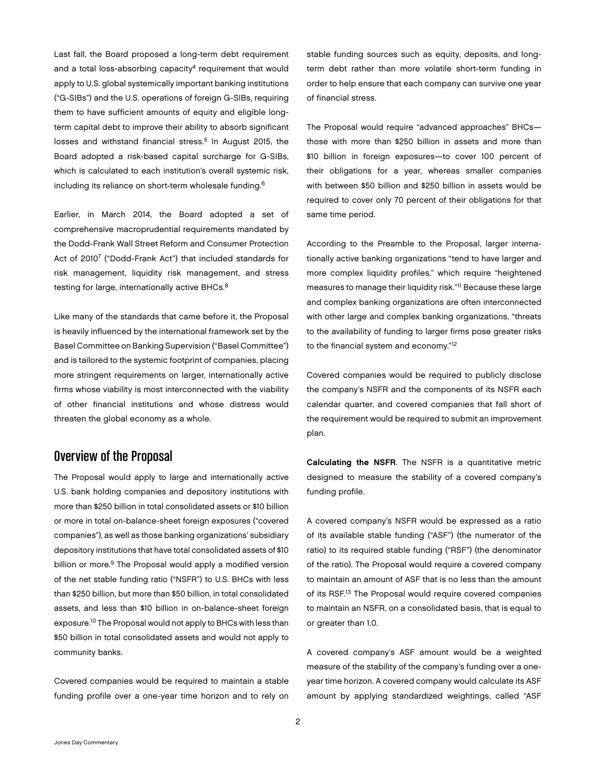Last fall, the Board proposed a long-term debt requirement and a total loss-absorbing capacity<sup>4</sup> requirement that would apply to U.S. global systemically important banking institutions ("G-SIBs") and the U.S. operations of foreign G-SIBs, requiring them to have sufficient amounts of equity and eligible longterm capital debt to improve their ability to absorb significant losses and withstand financial stress.<sup>5</sup> In August 2015, the Board adopted a risk-based capital surcharge for G-SIBs, which is calculated to each institution's overall systemic risk, including its reliance on short-term wholesale funding.6

Earlier, in March 2014, the Board adopted a set of comprehensive macroprudential requirements mandated by the Dodd-Frank Wall Street Reform and Consumer Protection Act of 20107 ("Dodd-Frank Act") that included standards for risk management, liquidity risk management, and stress testing for large, internationally active BHCs.<sup>8</sup>

Like many of the standards that came before it, the Proposal is heavily influenced by the international framework set by the Basel Committee on Banking Supervision ("Basel Committee") and is tailored to the systemic footprint of companies, placing more stringent requirements on larger, internationally active firms whose viability is most interconnected with the viability of other financial institutions and whose distress would threaten the global economy as a whole.

## Overview of the Proposal

The Proposal would apply to large and internationally active U.S. bank holding companies and depository institutions with more than \$250 billion in total consolidated assets or \$10 billion or more in total on-balance-sheet foreign exposures ("covered companies"), as well as those banking organizations' subsidiary depository institutions that have total consolidated assets of \$10 billion or more.<sup>9</sup> The Proposal would apply a modified version of the net stable funding ratio ("NSFR") to U.S. BHCs with less than \$250 billion, but more than \$50 billion, in total consolidated assets, and less than \$10 billion in on-balance-sheet foreign exposure.10 The Proposal would not apply to BHCs with less than \$50 billion in total consolidated assets and would not apply to community banks.

Covered companies would be required to maintain a stable funding profile over a one-year time horizon and to rely on stable funding sources such as equity, deposits, and longterm debt rather than more volatile short-term funding in order to help ensure that each company can survive one year of financial stress.

The Proposal would require "advanced approaches" BHCs those with more than \$250 billion in assets and more than \$10 billion in foreign exposures—to cover 100 percent of their obligations for a year, whereas smaller companies with between \$50 billion and \$250 billion in assets would be required to cover only 70 percent of their obligations for that same time period.

According to the Preamble to the Proposal, larger internationally active banking organizations "tend to have larger and more complex liquidity profiles," which require "heightened measures to manage their liquidity risk."11 Because these large and complex banking organizations are often interconnected with other large and complex banking organizations, "threats to the availability of funding to larger firms pose greater risks to the financial system and economy."12

Covered companies would be required to publicly disclose the company's NSFR and the components of its NSFR each calendar quarter, and covered companies that fall short of the requirement would be required to submit an improvement plan.

Calculating the NSFR. The NSFR is a quantitative metric designed to measure the stability of a covered company's funding profile.

A covered company's NSFR would be expressed as a ratio of its available stable funding ("ASF") (the numerator of the ratio) to its required stable funding ("RSF") (the denominator of the ratio). The Proposal would require a covered company to maintain an amount of ASF that is no less than the amount of its RSF.13 The Proposal would require covered companies to maintain an NSFR, on a consolidated basis, that is equal to or greater than 1.0.

A covered company's ASF amount would be a weighted measure of the stability of the company's funding over a oneyear time horizon. A covered company would calculate its ASF amount by applying standardized weightings, called "ASF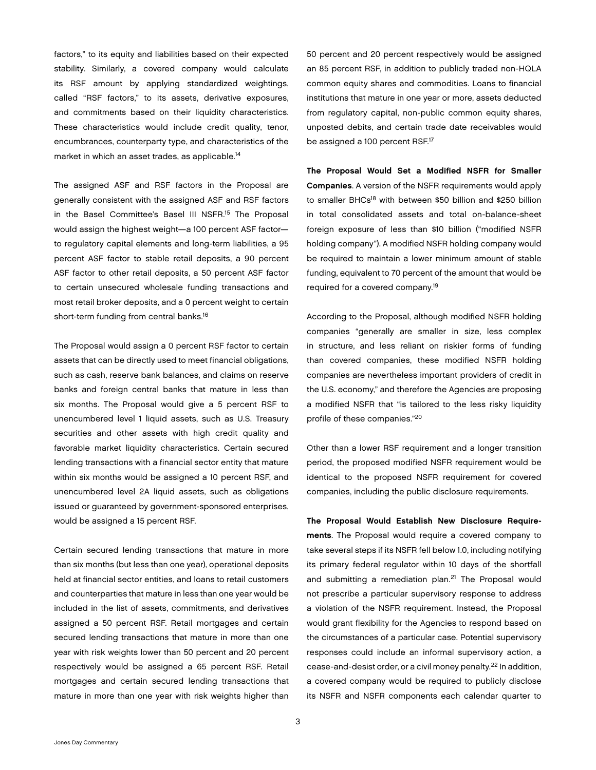factors," to its equity and liabilities based on their expected stability. Similarly, a covered company would calculate its RSF amount by applying standardized weightings, called "RSF factors," to its assets, derivative exposures, and commitments based on their liquidity characteristics. These characteristics would include credit quality, tenor, encumbrances, counterparty type, and characteristics of the market in which an asset trades, as applicable.<sup>14</sup>

The assigned ASF and RSF factors in the Proposal are generally consistent with the assigned ASF and RSF factors in the Basel Committee's Basel III NSFR.<sup>15</sup> The Proposal would assign the highest weight—a 100 percent ASF factor to regulatory capital elements and long-term liabilities, a 95 percent ASF factor to stable retail deposits, a 90 percent ASF factor to other retail deposits, a 50 percent ASF factor to certain unsecured wholesale funding transactions and most retail broker deposits, and a 0 percent weight to certain short-term funding from central banks.<sup>16</sup>

The Proposal would assign a 0 percent RSF factor to certain assets that can be directly used to meet financial obligations, such as cash, reserve bank balances, and claims on reserve banks and foreign central banks that mature in less than six months. The Proposal would give a 5 percent RSF to unencumbered level 1 liquid assets, such as U.S. Treasury securities and other assets with high credit quality and favorable market liquidity characteristics. Certain secured lending transactions with a financial sector entity that mature within six months would be assigned a 10 percent RSF, and unencumbered level 2A liquid assets, such as obligations issued or guaranteed by government-sponsored enterprises, would be assigned a 15 percent RSF.

Certain secured lending transactions that mature in more than six months (but less than one year), operational deposits held at financial sector entities, and loans to retail customers and counterparties that mature in less than one year would be included in the list of assets, commitments, and derivatives assigned a 50 percent RSF. Retail mortgages and certain secured lending transactions that mature in more than one year with risk weights lower than 50 percent and 20 percent respectively would be assigned a 65 percent RSF. Retail mortgages and certain secured lending transactions that mature in more than one year with risk weights higher than

50 percent and 20 percent respectively would be assigned an 85 percent RSF, in addition to publicly traded non-HQLA common equity shares and commodities. Loans to financial institutions that mature in one year or more, assets deducted from regulatory capital, non-public common equity shares, unposted debits, and certain trade date receivables would be assigned a 100 percent RSF.<sup>17</sup>

The Proposal Would Set a Modified NSFR for Smaller Companies. A version of the NSFR requirements would apply to smaller BHCs<sup>18</sup> with between \$50 billion and \$250 billion in total consolidated assets and total on-balance-sheet foreign exposure of less than \$10 billion ("modified NSFR holding company"). A modified NSFR holding company would be required to maintain a lower minimum amount of stable funding, equivalent to 70 percent of the amount that would be required for a covered company.19

According to the Proposal, although modified NSFR holding companies "generally are smaller in size, less complex in structure, and less reliant on riskier forms of funding than covered companies, these modified NSFR holding companies are nevertheless important providers of credit in the U.S. economy," and therefore the Agencies are proposing a modified NSFR that "is tailored to the less risky liquidity profile of these companies."20

Other than a lower RSF requirement and a longer transition period, the proposed modified NSFR requirement would be identical to the proposed NSFR requirement for covered companies, including the public disclosure requirements.

The Proposal Would Establish New Disclosure Requirements. The Proposal would require a covered company to take several steps if its NSFR fell below 1.0, including notifying its primary federal regulator within 10 days of the shortfall and submitting a remediation plan. $21$  The Proposal would not prescribe a particular supervisory response to address a violation of the NSFR requirement. Instead, the Proposal would grant flexibility for the Agencies to respond based on the circumstances of a particular case. Potential supervisory responses could include an informal supervisory action, a cease-and-desist order, or a civil money penalty.22 In addition, a covered company would be required to publicly disclose its NSFR and NSFR components each calendar quarter to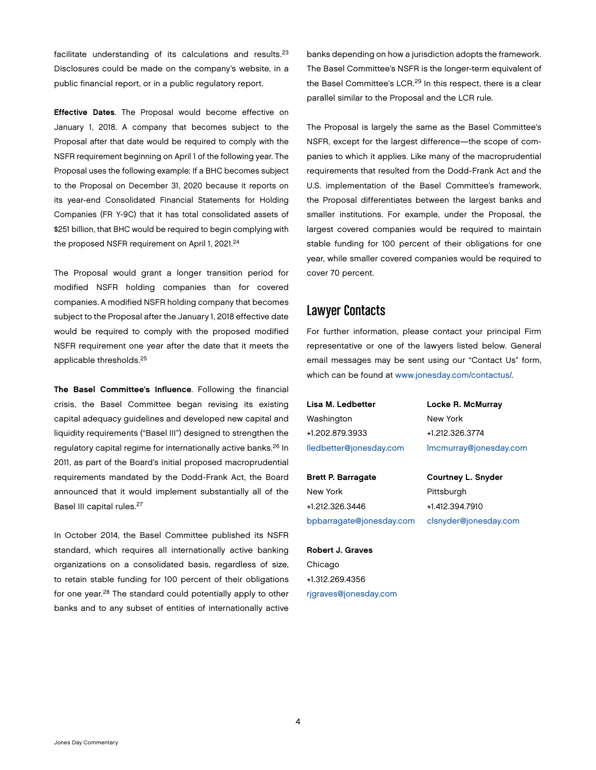facilitate understanding of its calculations and results.23 Disclosures could be made on the company's website, in a public financial report, or in a public regulatory report.

Effective Dates. The Proposal would become effective on January 1, 2018. A company that becomes subject to the Proposal after that date would be required to comply with the NSFR requirement beginning on April 1 of the following year. The Proposal uses the following example: If a BHC becomes subject to the Proposal on December 31, 2020 because it reports on its year-end Consolidated Financial Statements for Holding Companies (FR Y-9C) that it has total consolidated assets of \$251 billion, that BHC would be required to begin complying with the proposed NSFR requirement on April 1, 2021.<sup>24</sup>

The Proposal would grant a longer transition period for modified NSFR holding companies than for covered companies. A modified NSFR holding company that becomes subject to the Proposal after the January 1, 2018 effective date would be required to comply with the proposed modified NSFR requirement one year after the date that it meets the applicable thresholds.25

The Basel Committee's Influence. Following the financial crisis, the Basel Committee began revising its existing capital adequacy guidelines and developed new capital and liquidity requirements ("Basel III") designed to strengthen the regulatory capital regime for internationally active banks.26 In 2011, as part of the Board's initial proposed macroprudential requirements mandated by the Dodd-Frank Act, the Board announced that it would implement substantially all of the Basel III capital rules.<sup>27</sup>

In October 2014, the Basel Committee published its NSFR standard, which requires all internationally active banking organizations on a consolidated basis, regardless of size, to retain stable funding for 100 percent of their obligations for one year.28 The standard could potentially apply to other banks and to any subset of entities of internationally active

banks depending on how a jurisdiction adopts the framework. The Basel Committee's NSFR is the longer-term equivalent of the Basel Committee's LCR.<sup>29</sup> In this respect, there is a clear parallel similar to the Proposal and the LCR rule.

The Proposal is largely the same as the Basel Committee's NSFR, except for the largest difference—the scope of companies to which it applies. Like many of the macroprudential requirements that resulted from the Dodd-Frank Act and the U.S. implementation of the Basel Committee's framework, the Proposal differentiates between the largest banks and smaller institutions. For example, under the Proposal, the largest covered companies would be required to maintain stable funding for 100 percent of their obligations for one year, while smaller covered companies would be required to cover 70 percent.

#### Lawyer Contacts

For further information, please contact your principal Firm representative or one of the lawyers listed below. General email messages may be sent using our "Contact Us" form, which can be found at [www.jonesday.com/contactus/.](http://www.jonesday.com/contactus/)

| Lisa M. Ledbetter         | Locke R. McMurray         |
|---------------------------|---------------------------|
| Washington                | New York                  |
| +1.202.879.3933           | +1.212.326.3774           |
| lledbetter@jonesday.com   | Imcmurray@jonesday.com    |
|                           |                           |
| <b>Brett P. Barragate</b> | <b>Courtney L. Snyder</b> |

New York +1.212.326.3446 [bpbarragate@jonesday.com](mailto:bpbarragate@jonesday.com) Courtney L. Snyder Pittsburgh +1.412.394.7910 [clsnyder@jonesday.com](mailto:clsnyder@jonesday.com)

Robert J. Graves Chicago +1.312.269.4356 [rjgraves@jonesday.com](mailto:rjgraves@jonesday.com)